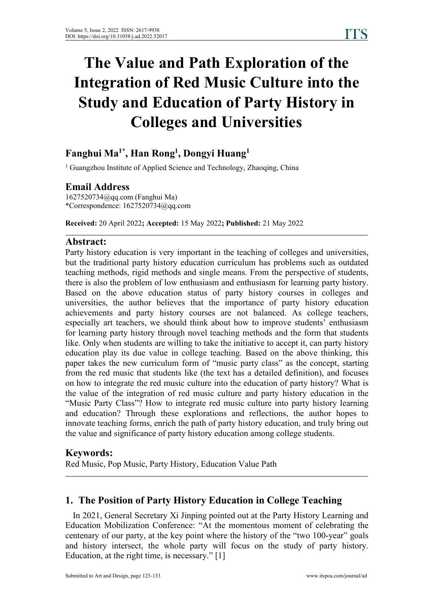# **The Value and Path Exploration of the Integration of Red Music Culture into the Study and Education of Party History in Colleges and Universities**

#### **Fanghui Ma 1\* , Han Rong 1 , Dongyi Huang 1**

<sup>1</sup> Guangzhou Institute of Applied Science and Technology, Zhaoqing, China

# **Email Address**

1627520734@qq.com (Fanghui Ma) \*Correspondence: 1627520734@qq.com

**Received:** 20 April 2022**; Accepted:** 15 May 2022**; Published:** 21 May 2022

# **Abstract:**

Party history education is very important in the teaching of colleges and universities, but the traditional party history education curriculum has problems such as outdated teaching methods, rigid methods and single means. From the perspective of students, there is also the problem of low enthusiasm and enthusiasm for learning party history. Based on the above education status of party history courses in colleges and universities, the author believes that the importance of party history education achievements and party history courses are not balanced. As college teachers, especially art teachers, we should think about how to improve students' enthusiasm for learning party history through novel teaching methods and the form that students like. Only when students are willing to take the initiative to accept it, can party history education play its due value in college teaching. Based on the above thinking, this paper takes the new curriculum form of "music party class" as the concept, starting from the red music that students like (the text has a detailed definition), and focuses on how to integrate the red music culture into the education of party history? What is the value of the integration of red music culture and party history education in the "Music Party Class"? How to integrate red music culture into party history learning and education? Through these explorations and reflections, the author hopes to innovate teaching forms, enrich the path of party history education, and truly bring out the value and significance of party history education among college students.

# **Keywords:**

Red Music, Pop Music, Party History, Education Value Path

# **1. The Position of Party History Education in College Teaching**

In 2021, General Secretary Xi Jinping pointed out at the Party History Learning and Education Mobilization Conference: "At the momentous moment of celebrating the centenary of our party, at the key point where the history of the "two 100-year" goals and history intersect, the whole party will focus on the study of party history. Education, at the right time, is necessary." [1]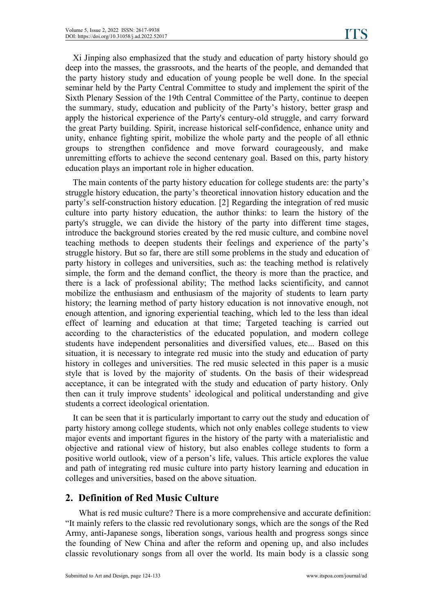Xi Jinping also emphasized that the study and education of party history should go deep into the masses, the grassroots, and the hearts of the people, and demanded that the party history study and education of young people be well done. In the special seminar held by the Party Central Committee to study and implement the spirit of the Sixth Plenary Session of the 19th Central Committee of the Party, continue to deepen the summary, study, education and publicity of the Party's history, better grasp and apply the historical experience of the Party's century-old struggle, and carry forward the great Party building. Spirit, increase historical self-confidence, enhance unity and unity, enhance fighting spirit, mobilize the whole party and the people of all ethnic groups to strengthen confidence and move forward courageously, and make unremitting efforts to achieve the second centenary goal. Based on this, party history education plays an important role in higher education.

The main contents of the party history education for college students are: the party's struggle history education, the party's theoretical innovation history education and the party's self-construction history education. [2] Regarding the integration of red music culture into party history education, the author thinks: to learn the history of the party's struggle, we can divide the history of the party into different time stages, introduce the background stories created by the red music culture, and combine novel teaching methods to deepen students their feelings and experience of the party's struggle history. But so far, there are still some problems in the study and education of party history in colleges and universities, such as: the teaching method is relatively simple, the form and the demand conflict, the theory is more than the practice, and there is a lack of professional ability; The method lacks scientificity, and cannot mobilize the enthusiasm and enthusiasm of the majority of students to learn party history; the learning method of party history education is not innovative enough, not enough attention, and ignoring experiential teaching, which led to the less than ideal effect of learning and education at that time; Targeted teaching is carried out according to the characteristics of the educated population, and modern college students have independent personalities and diversified values, etc... Based on this situation, it is necessary to integrate red music into the study and education of party history in colleges and universities. The red music selected in this paper is a music style that is loved by the majority of students. On the basis of their widespread acceptance, it can be integrated with the study and education of party history. Only then can it truly improve students' ideological and political understanding and give students a correct ideological orientation.

It can be seen that it is particularly important to carry out the study and education of party history among college students, which not only enables college students to view major events and important figures in the history of the party with a materialistic and objective and rational view of history, but also enables college students to form a positive world outlook, view of a person's life, values. This article explores the value and path of integrating red music culture into party history learning and education in colleges and universities, based on the above situation.

# **2. Definition of Red Music Culture**

What is red music culture? There is a more comprehensive and accurate definition: "It mainly refers to the classic red revolutionary songs, which are the songs of the Red Army, anti-Japanese songs, liberation songs, various health and progress songs since the founding of New China and after the reform and opening up, and also includes classic revolutionary songs from all over the world. Its main body is a classic song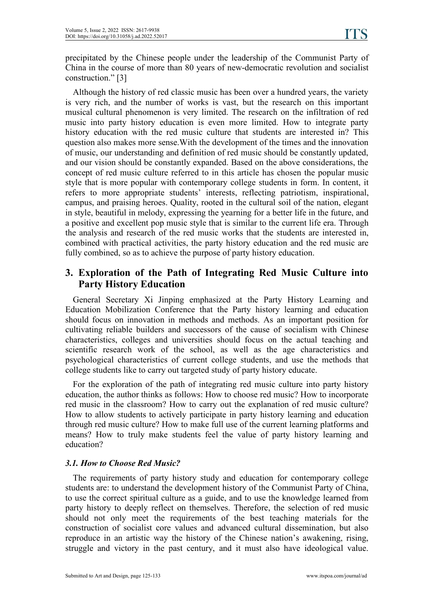precipitated by the Chinese people under the leadership of the Communist Party of China in the course of more than 80 years of new-democratic revolution and socialist construction." [3]

Although the history of red classic music has been over a hundred years, the variety is very rich, and the number of works is vast, but the research on this important musical cultural phenomenon is very limited. The research on the infiltration of red music into party history education is even more limited. How to integrate party history education with the red music culture that students are interested in? This question also makes more sense.With the development of the times and the innovation of music, our understanding and definition of red music should be constantly updated, and our vision should be constantly expanded. Based on the above considerations, the concept of red music culture referred to in this article has chosen the popular music style that is more popular with contemporary college students in form. In content, it refers to more appropriate students' interests, reflecting patriotism, inspirational, campus, and praising heroes. Quality, rooted in the cultural soil of the nation, elegant in style, beautiful in melody, expressing the yearning for a better life in the future, and a positive and excellent pop music style that is similar to the current life era. Through the analysis and research of the red music works that the students are interested in, combined with practical activities, the party history education and the red music are fully combined, so as to achieve the purpose of party history education.

# **3. Exploration of the Path of Integrating Red Music Culture into Party History Education**

General Secretary Xi Jinping emphasized at the Party History Learning and Education Mobilization Conference that the Party history learning and education should focus on innovation in methods and methods. As an important position for cultivating reliable builders and successors of the cause of socialism with Chinese characteristics, colleges and universities should focus on the actual teaching and scientific research work of the school, as well as the age characteristics and psychological characteristics of current college students, and use the methods that college students like to carry out targeted study of party history educate.

For the exploration of the path of integrating red music culture into party history education, the author thinks as follows: How to choose red music? How to incorporate red music in the classroom? How to carry out the explanation of red music culture? How to allow students to actively participate in party history learning and education through red music culture? How to make full use of the current learning platforms and means? How to truly make students feel the value of party history learning and education?

#### *3.1. How to Choose Red Music?*

The requirements of party history study and education for contemporary college students are: to understand the development history of the Communist Party of China, to use the correct spiritual culture as a guide, and to use the knowledge learned from party history to deeply reflect on themselves. Therefore, the selection of red music should not only meet the requirements of the best teaching materials for the construction of socialist core values and advanced cultural dissemination, but also reproduce in an artistic way the history of the Chinese nation's awakening, rising, struggle and victory in the past century, and it must also have ideological value.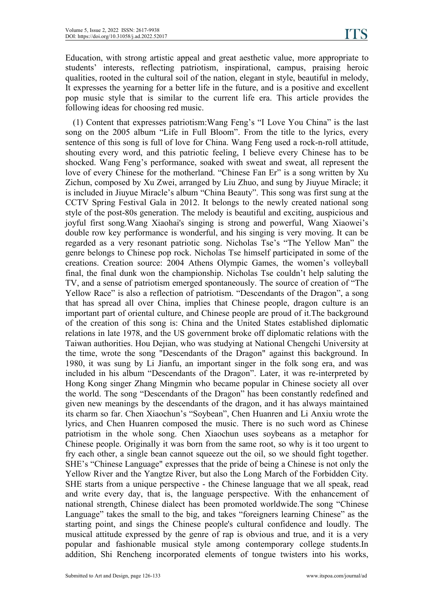Education, with strong artistic appeal and great aesthetic value, more appropriate to students' interests, reflecting patriotism, inspirational, campus, praising heroic qualities, rooted in the cultural soil of the nation, elegant in style, beautiful in melody, It expresses the yearning for a better life in the future, and is a positive and excellent pop music style that is similar to the current life era. This article provides the following ideas for choosing red music.

(1) Content that expresses patriotism:Wang Feng's "ILove You China" isthe last song on the 2005 album "Life in Full Bloom". From the title to the lyrics, every sentence of this song is full of love for China. Wang Feng used a rock-n-roll attitude, shouting every word, and this patriotic feeling, I believe every Chinese has to be shocked. Wang Feng's performance, soaked with sweat and sweat, allrepresent the love of every Chinese for the motherland. "Chinese Fan Er" is a song written by Xu Zichun, composed by Xu Zwei, arranged by Liu Zhuo, and sung by Jiuyue Miracle; it is included in Jiuyue Miracle's album "China Beauty". This song was first sung at the CCTV Spring Festival Gala in 2012. It belongs to the newly created national song style of the post-80s generation. The melody is beautiful and exciting, auspicious and joyful first song.Wang Xiaohai's singing is strong and powerful, Wang Xiaowei's double row key performance iswonderful, and his singing is very moving. It can be regarded as a very resonant patriotic song. Nicholas Tse's "The Yellow Man" the genre belongs to Chinese pop rock. Nicholas Tse himself participated in some of the creations. Creation source: 2004 Athens Olympic Games, the women's volleyball final, the final dunk won the championship. Nicholas Tse couldn't help saluting the TV, and a sense of patriotism emerged spontaneously. The source of creation of "The Yellow Race" is also a reflection of patriotism. "Descendants of the Dragon", a song that has spread all over China, implies that Chinese people, dragon culture is an important part of oriental culture, and Chinese people are proud of it.The background of the creation of this song is: China and the United States established diplomatic relations in late 1978, and the US government broke off diplomatic relations with the Taiwan authorities.Hou Dejian, who was studying at National Chengchi University at the time, wrote the song "Descendants of the Dragon" against this background. In 1980, it was sung by Li Jianfu, an important singer in the folk song era, and was included in his album "Descendants of the Dragon". Later, it was re-interpreted by Hong Kong singer Zhang Mingmin who became popular in Chinese society all over the world. The song "Descendants of the Dragon" has been constantly redefined and given new meanings by the descendants of the dragon, and it has always maintained its charm so far. Chen Xiaochun's "Soybean", Chen Huanren and Li Anxiu wrote the lyrics, and Chen Huanren composed the music. There is no such word as Chinese patriotism in the whole song. Chen Xiaochun uses soybeans as a metaphor for Chinese people. Originally it was born from the same root, so why is it too urgent to fry each other, a single bean cannot squeeze out the oil, so we should fight together. SHE's "Chinese Language" expresses that the pride of being a Chinese is not only the Yellow River and the Yangtze River, but also the Long March of the Forbidden City. SHE starts from a unique perspective - the Chinese language that we all speak, read and write every day, that is, the language perspective. With the enhancement of national strength, Chinese dialect has been promoted worldwide.The song "Chinese Language" takes the small to the big, and takes "foreigners learning Chinese" as the starting point, and sings the Chinese people's cultural confidence and loudly. The musical attitude expressed by the genre of rap is obvious and true, and it is a very popular and fashionable musical style among contemporary college students.In addition, Shi Rencheng incorporated elements of tongue twisters into his works,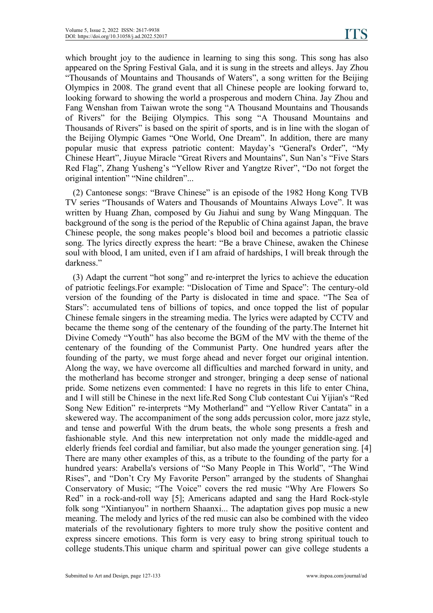which brought joy to the audience in learning to sing this song. This song has also appeared on the Spring Festival Gala, and it is sung in the streets and alleys. Jay Zhou "Thousands of Mountains and Thousands of Waters", a song written for the Beijing Olympics in 2008. The grand event that all Chinese people are looking forward to, looking forward to showing the world a prosperous and modern China. Jay Zhou and Fang Wenshan from Taiwan wrote the song "A Thousand Mountains and Thousands of Rivers" for the Beijing Olympics.This song "A Thousand Mountains and Thousands of Rivers" is based on the spirit of sports, and is in line with the slogan of the Beijing Olympic Games "One World, One Dream". In addition, there are many popular music that express patriotic content: Mayday's "General's Order", "My Chinese Heart", Jiuyue Miracle "Great Rivers and Mountains", Sun Nan's "Five Stars Red Flag", Zhang Yusheng's "Yellow River and Yangtze River", "Do not forget the original intention" "Nine children"...

(2) Cantonese songs: "Brave Chinese" isan episode of the 1982 Hong Kong TVB TV series "Thousands of Waters and Thousands of Mountains Always Love". It was written by Huang Zhan, composed by Gu Jiahui and sung by Wang Mingquan. The background of the song is the period of the Republic of China against Japan, the brave Chinese people, the song makes people's blood boil and becomes a patriotic classic song. The lyrics directly express the heart: "Be a brave Chinese, awaken the Chinese soul with blood, I am united, even if I am afraid of hardships, I will break through the darkness."

(3) Adapt the current"hot song" and re-interpret the lyrics to achieve the education of patriotic feelings.For example: "Dislocation of Time and Space": The century-old version of the founding of the Party is dislocated in time and space. "The Sea of Stars": accumulated tens of billions of topics, and once topped the list of popular Chinese female singers in the streaming media. The lyrics were adapted by CCTV and became the theme song of the centenary of the founding of the party.The Internet hit Divine Comedy "Youth" has also become the BGM of the MV with the theme of the centenary of the founding of the Communist Party. One hundred years after the founding of the party, we must forge ahead and never forget our original intention. Along the way, we have overcome all difficulties and marched forward in unity, and the motherland has become stronger and stronger, bringing a deep sense of national pride. Some netizens even commented: I have no regrets in this life to enter China, and I will still be Chinese in the next life.Red Song Club contestant Cui Yijian's "Red Song New Edition" re-interprets "My Motherland" and "Yellow River Cantata" in a skewered way. The accompaniment of the song adds percussion color, more jazz style, and tense and powerful With the drum beats, the whole song presents a fresh and fashionable style. And this new interpretation not only made the middle-aged and elderly friends feel cordial and familiar, but also made the younger generation sing. [4] There are many other examples of this, as a tribute to the founding of the party for a hundred years: Arabella's versions of "So Many People in This World", "The Wind Rises", and "Don't Cry My Favorite Person" arranged by the students of Shanghai Conservatory of Music; "The Voice" covers the red music "Why Are Flowers So Red" in a rock-and-roll way [5]; Americans adapted and sang the Hard Rock-style folk song "Xintianyou" in northern Shaanxi... The adaptation gives pop music a new meaning. The melody and lyrics of the red music can also be combined with the video materials of the revolutionary fighters to more truly show the positive content and express sincere emotions. This form is very easy to bring strong spiritual touch to college students.This unique charm and spiritual powercan give college students a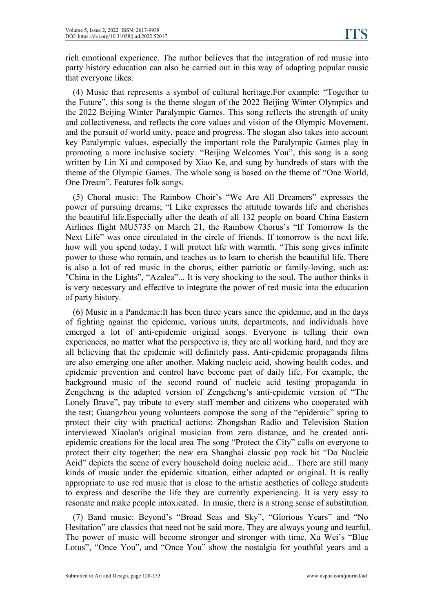rich emotional experience. The author believes that the integration of red music into party history education can also be carried out in this way of adapting popular music that everyone likes.

(4) Music that represents a symbol of cultural heritage.For example: "Together to the Future", this song is the theme slogan of the 2022 Beijing Winter Olympics and the 2022 Beijing Winter Paralympic Games. This song reflects the strength of unity and collectiveness, and reflects the core values and vision of the Olympic Movement. and the pursuit of world unity, peace and progress. The slogan also takes into account key Paralympic values, especially the important role the Paralympic Games play in promoting a more inclusive society. "Beijing Welcomes You", this song is a song written by Lin Xi and composed by Xiao Ke, and sung by hundreds of stars with the theme of the Olympic Games. The whole song is based on the theme of "One World, One Dream". Features folk songs.

(5) Choral music: The Rainbow Choir's "We Are All Dreamers" expresses the power of pursuing dreams; "I Like expresses the attitude towards life and cherishes the beautiful life.Especially after the death of all 132 people on board China Eastern Airlines flight MU5735 on March 21, the Rainbow Chorus's "If Tomorrow Is the Next Life" was once circulated in the circle of friends. If tomorrow is the next life, how will you spend today, I will protect life with warmth. "This song gives infinite power to those who remain, and teaches us to learn to cherish the beautiful life. There is also a lot of red music in the chorus, either patriotic or family-loving, such as: "China in the Lights", "Azalea"... It is very shocking to the soul. The author thinks it is very necessary and effective to integrate the power of red music into the education of party history.

(6) Music in a Pandemic:It has been three years since the epidemic, and in the days of fighting against the epidemic, various units, departments, and individuals have emerged a lot of anti-epidemic original songs. Everyone is telling their own experiences, no matter what the perspective is, they are all working hard, and they are all believing that the epidemic will definitely pass. Anti-epidemic propaganda films are also emerging one after another. Making nucleic acid, showing health codes, and epidemic prevention and control have become part of daily life. For example, the background music of the second round of nucleic acid testing propaganda in Zengcheng is the adapted version of Zengcheng's anti-epidemic version of "The Lonely Brave", pay tribute to every staff member and citizens who cooperated with the test; Guangzhou young volunteers compose the song of the "epidemic" spring to protect their city with practical actions; Zhongshan Radio and Television Station interviewed Xiaolan's original musician from zero distance, and he created anti epidemic creations for the local area The song "Protect the City" calls on everyone to protect their city together; the new era Shanghai classic pop rock hit "Do Nucleic Acid" depicts the scene of every household doing nucleic acid... There are still many kinds of music under the epidemic situation, either adapted or original. It is really appropriate to use red music that is close to the artistic aesthetics of college students to express and describe the life they are currently experiencing. It is very easy to resonate and make people intoxicated. In music, there is a strong sense of substitution.

(7) Band music: Beyond's "Broad Seas and Sky", "Glorious Years" and "No Hesitation" are classics that need not be said more. They are always young and tearful. The power of music will become stronger and stronger with time. Xu Wei's "Blue Lotus", "Once You", and "Once You" show the nostalgia for youthful years and a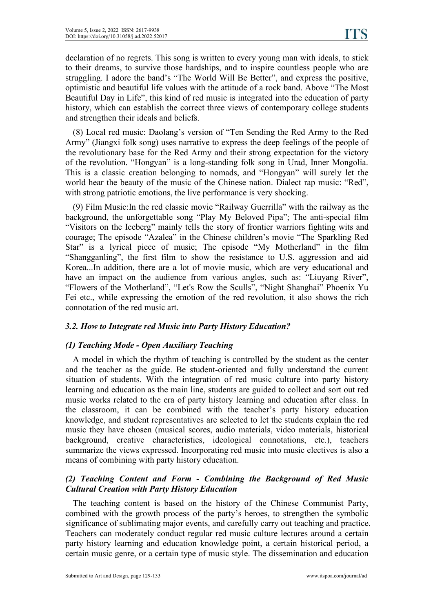declaration of no regrets. This song is written to every young man with ideals, to stick to their dreams, to survive those hardships, and to inspire countless people who are struggling. I adore the band's "The World Will Be Better", and express the positive, optimistic and beautiful life values with the attitude of a rock band. Above "The Most Beautiful Day in Life", this kind of red music is integrated into the education of party history, which can establish the correct three views of contemporary college students and strengthen their ideals and beliefs.

(8) Local red music: Daolang's version of "Ten Sending the Red Army to the Red Army" (Jiangxi folk song) uses narrative to express the deep feelings of the people of the revolutionary base for the Red Army and their strong expectation for the victory of the revolution. "Hongyan" is a long-standing folk song in Urad, Inner Mongolia. This is a classic creation belonging to nomads, and "Hongyan" will surely let the world hear the beauty of the music of the Chinese nation. Dialect rap music: "Red", with strong patriotic emotions, the live performance is very shocking.

(9) Film Music:In the red classic movie "Railway Guerrilla" with the railway as the background, the unforgettable song "Play My Beloved Pipa"; The anti-special film "Visitors on the Iceberg" mainly tells the story of frontier warriors fighting wits and courage; The episode "Azalea" in the Chinese children's movie "The Sparkling Red Star" is a lyrical piece of music; The episode "My Motherland" in the film "Shangganling", the first film to show the resistance to U.S. aggression and aid Korea...In addition, there are a lot of movie music, which are very educational and have an impact on the audience from various angles, such as: "Liuyang River", "Flowers of the Motherland", "Let's Row the Sculls", "Night Shanghai" Phoenix Yu Fei etc., while expressing the emotion of the red revolution, it also shows the rich connotation of the red music art.

#### *3.2. How to Integrate red Music into Party History Education?*

### *(1) Teaching Mode -Open Auxiliary Teaching*

A model in which the rhythm of teaching is controlled by the student as the center and the teacher as the guide. Be student-oriented and fully understand the current situation of students. With the integration of red music culture into party history learning and education as the main line, students are guided to collect and sort out red music works related to the era of party history learning and education after class. In the classroom, it can be combined with the teacher's party history education knowledge, and student representatives are selected to let the students explain the red music they have chosen (musical scores, audio materials, video materials, historical background, creative characteristics, ideological connotations, etc.), teachers summarize the views expressed. Incorporating red music into music electives is also a means of combining with party history education.

### *(2) Teaching Content and Form - Combining the Background of Red Music Cultural Creation with Party History Education*

The teaching content is based on the history of the Chinese Communist Party, combined with the growth process of the party's heroes, to strengthen the symbolic significance of sublimating major events, and carefully carry out teaching and practice. Teachers can moderately conduct regular red music culture lectures around a certain party history learning and education knowledge point, a certain historical period, a certain music genre, or a certain type of music style. The dissemination and education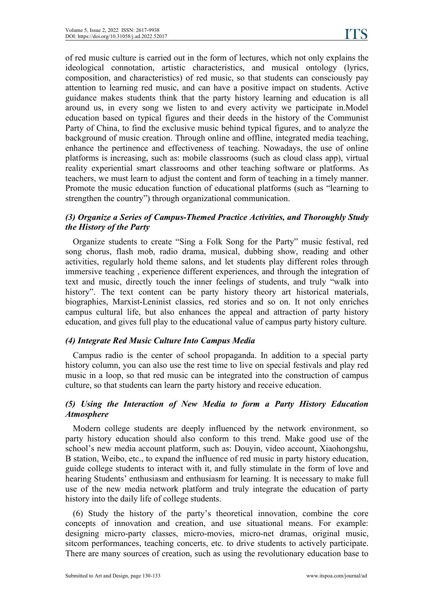of red music culture iscarried out in the form of lectures, which not only explains the ideological connotation, artistic characteristics, and musical ontology (lyrics, composition, and characteristics) of red music, so that students can consciously pay attention to learning red music, and can have a positive impact on students. Active guidance makes students think that the party history learning and education is all around us, in every song we listen to and every activity we participate in.Model education based on typical figures and their deeds in the history of the Communist Party of China, to find the exclusive music behind typical figures, and to analyze the background of music creation. Through online and offline, integrated media teaching, enhance the pertinence and effectiveness of teaching. Nowadays, the use of online platforms is increasing, such as: mobile classrooms (such as cloud class app), virtual reality experiential smart classrooms and other teaching software or platforms. As teachers, we must learn to adjust the content and form of teaching in a timely manner. Promote the music education function of educational platforms (such as "learning to strengthen the country") through organizational communication.

#### *(3) Organize a Series ofCampus-Themed Practice Activities, and Thoroughly Study the History of the Party*

Organize students to create "Sing a Folk Song for the Party" music festival, red song chorus, flash mob, radio drama, musical, dubbing show, reading and other activities, regularly hold theme salons, and let students play different roles through immersive teaching , experience different experiences, and through the integration of text and music, directly touch the inner feelings of students, and truly "walk into history". The text content can be party history theory art historical materials, biographies, Marxist-Leninist classics, red stories and so on. It not only enriches campus cultural life, but also enhances the appeal and attraction of party history education, and gives full play to the educational value of campus party history culture.

#### *(4) Integrate Red Music Culture Into Campus Media*

Campus radio is the center of school propaganda. In addition to a special party history column, you can also use the rest time to live on special festivals and play red music in a loop, so that red music can be integrated into the construction of campus culture, so that students can learn the party history and receive education.

#### *(5) Using the Interaction of New Media to form a Party History Education Atmosphere*

Modern college students are deeply influenced by the network environment, so party history education should also conform to this trend. Make good use of the school's new media account platform, such as: Douyin, video account, Xiaohongshu, B station, Weibo, etc., to expand the influence of red music in party history education, guide college students to interact with it, and fully stimulate in the form of love and hearing Students' enthusiasm and enthusiasm for learning. It is necessary to make full use of the new media network platform and truly integrate the education of party history into the daily life of college students.

(6) Study the history of the party's theoretical innovation, combine the core concepts of innovation and creation, and use situational means. For example: designing micro-party classes, micro-movies, micro-net dramas, original music, sitcom performances, teaching concerts, etc. to drive students to actively participate. There are many sources of creation, such as using the revolutionary education base to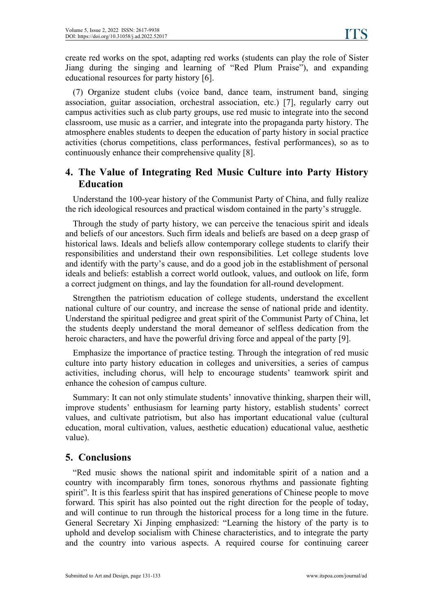create red works on the spot, adapting red works (students can play the role of Sister Jiang during the singing and learning of "Red Plum Praise"), and expanding educational resources for party history [6].

(7) Organize student clubs (voice band, dance team, instrument band, singing association, guitar association, orchestral association, etc.) [7], regularly carry out campus activities such as club party groups, use red music to integrate into the second classroom, use music as a carrier, and integrate into the propaganda party history. The atmosphere enables students to deepen the education of party history in social practice activities (chorus competitions, class performances, festival performances), so as to continuously enhance their comprehensive quality [8].

# **4. The Value of Integrating Red Music Culture into Party History Education**

Understand the 100-year history of the Communist Party of China, and fully realize the rich ideological resources and practical wisdom contained in the party's struggle.

Through the study of party history, we can perceive the tenacious spirit and ideals and beliefs of our ancestors. Such firm ideals and beliefs are based on a deep grasp of historical laws. Ideals and beliefs allow contemporary college students to clarify their responsibilities and understand their own responsibilities. Let college students love and identify with the party's cause, and do a good job in the establishment of personal ideals and beliefs: establish a correct world outlook, values, and outlook on life, form a correct judgment on things, and lay the foundation for all-round development.

Strengthen the patriotism education of college students, understand the excellent national culture of our country, and increase the sense of national pride and identity. Understand the spiritual pedigree and great spirit of the Communist Party of China, let the students deeply understand the moral demeanor of selfless dedication from the heroic characters, and have the powerful driving force and appeal of the party [9].

Emphasize the importance of practice testing. Through the integration of red music culture into party history education in colleges and universities, a series of campus activities, including chorus, will help to encourage students' teamwork spirit and enhance the cohesion of campus culture.

Summary: It can not only stimulate students' innovative thinking, sharpen their will, improve students' enthusiasm for learning party history, establish students' correct values, and cultivate patriotism, but also has important educational value (cultural education, moral cultivation, values, aesthetic education) educational value, aesthetic value).

# **5. Conclusions**

"Red music shows the national spirit and indomitable spirit of a nation and a country with incomparably firm tones, sonorous rhythms and passionate fighting spirit". It is this fearless spirit that has inspired generations of Chinese people to move forward. This spirit has also pointed out the right direction for the people of today, and will continue to run through the historical process for a long time in the future. General Secretary Xi Jinping emphasized: "Learning the history of the party is to uphold and develop socialism with Chinese characteristics, and to integrate the party and the country into various aspects. A required course for continuing career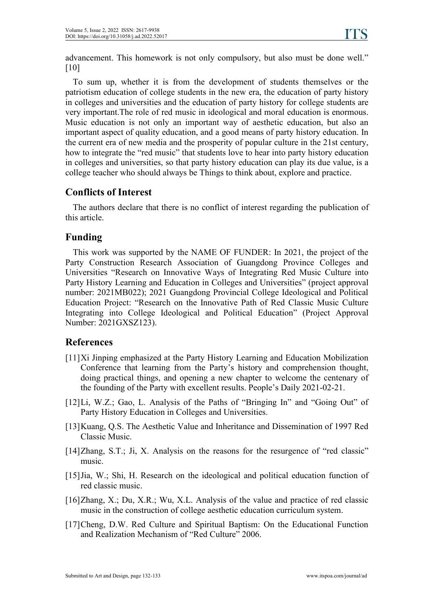advancement. This homework is not only compulsory, but also must be done well." [10]

To sum up, whether it is from the development of students themselves or the patriotism education of college students in the new era, the education of party history in colleges and universities and the education of party history for college students are very important.The role of red music in ideological and moral education is enormous. Music education is not only an important way of aesthetic education, but also an important aspect of quality education, and a good means of party history education. In the current era of new media and the prosperity of popular culture in the 21st century, how to integrate the "red music" that students love to hear into party history education in colleges and universities, so that party history education can play its due value, is a college teacher who should always be Things to think about, explore and practice.

# **Conflicts of Interest**

The authors declare that there is no conflict of interest regarding the publication of this article.

# **Funding**

This work was supported by the NAME OF FUNDER: In 2021, the project of the Party Construction Research Association of Guangdong Province Colleges and Universities "Research on Innovative Ways of Integrating Red Music Culture into Party History Learning and Education in Colleges and Universities" (project approval number: 2021MB022); 2021 Guangdong Provincial College Ideological and Political Education Project: "Research on the Innovative Path of Red Classic Music Culture Integrating into College Ideological and Political Education" (Project Approval Number: 2021GXSZ123).

# **References**

- [11]Xi Jinping emphasized at the Party History Learning and Education Mobilization Conference that learning from the Party's history and comprehension thought, doing practical things, and opening a new chapter to welcome the centenary of the founding of the Party with excellent results. People's Daily 2021-02-21.
- [12]Li, W.Z.; Gao, L. Analysis of the Paths of "Bringing In" and "Going Out" of Party History Education in Colleges and Universities.
- [13]Kuang, Q.S. The Aesthetic Value and Inheritance and Dissemination of 1997 Red Classic Music.
- [14]Zhang, S.T.; Ji, X. Analysis on the reasons for the resurgence of "red classic" music.
- [15]Jia, W.; Shi, H. Research on the ideological and political education function of red classic music.
- [16]Zhang, X.; Du, X.R.; Wu, X.L. Analysis of the value and practice of red classic music in the construction of college aesthetic education curriculum system.
- [17]Cheng, D.W. Red Culture and Spiritual Baptism: On the Educational Function and Realization Mechanism of "Red Culture" 2006.